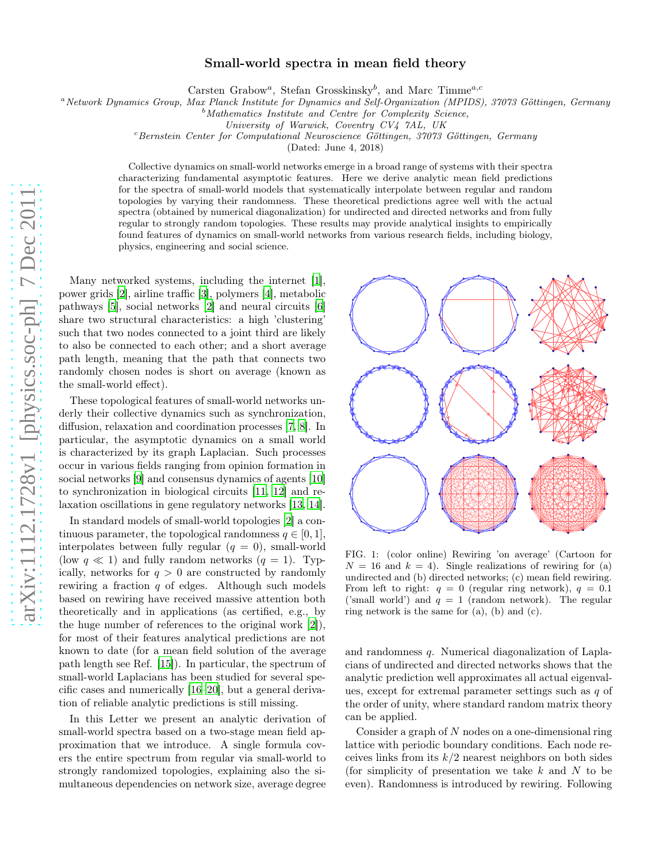## Small-world spectra in mean field theory

Carsten Grabow<sup>a</sup>, Stefan Grosskinsky<sup>b</sup>, and Marc Timme<sup>a,c</sup>

<sup>a</sup>Network Dynamics Group, Max Planck Institute for Dynamics and Self-Organization (MPIDS), 37073 Göttingen, Germany

 $b$ Mathematics Institute and Centre for Complexity Science,

<sup>c</sup>Bernstein Center for Computational Neuroscience Göttingen, 37073 Göttingen, Germany

(Dated: June 4, 2018)

Collective dynamics on small-world networks emerge in a broad range of systems with their spectra characterizing fundamental asymptotic features. Here we derive analytic mean field predictions for the spectra of small-world models that systematically interpolate between regular and random topologies by varying their randomness. These theoretical predictions agree well with the actual spectra (obtained by numerical diagonalization) for undirected and directed networks and from fully regular to strongly random topologies. These results may provide analytical insights to empirically found features of dynamics on small-world networks from various research fields, including biology, physics, engineering and social science.

Many networked systems, including the internet [\[1\]](#page-4-0), power grids [\[2\]](#page-4-1), airline traffic [\[3\]](#page-4-2), polymers [\[4](#page-4-3)], metabolic pathways [\[5](#page-4-4)], social networks [\[2\]](#page-4-1) and neural circuits [\[6](#page-4-5)] share two structural characteristics: a high 'clustering' such that two nodes connected to a joint third are likely to also be connected to each other; and a short average path length, meaning that the path that connects two randomly chosen nodes is short on average (known as the small-world effect).

These topological features of small-world networks underly their collective dynamics such as synchronization, diffusion, relaxation and coordination processes [\[7,](#page-4-6) [8](#page-4-7)]. In particular, the asymptotic dynamics on a small world is characterized by its graph Laplacian. Such processes occur in various fields ranging from opinion formation in social networks [\[9\]](#page-4-8) and consensus dynamics of agents [\[10](#page-4-9)] to synchronization in biological circuits [\[11](#page-4-10), [12\]](#page-4-11) and relaxation oscillations in gene regulatory networks [\[13,](#page-4-12) [14\]](#page-4-13).

In standard models of small-world topologies [\[2\]](#page-4-1) a continuous parameter, the topological randomness  $q \in [0, 1]$ , interpolates between fully regular  $(q = 0)$ , small-world (low  $q \ll 1$ ) and fully random networks  $(q = 1)$ . Typically, networks for  $q > 0$  are constructed by randomly rewiring a fraction  $q$  of edges. Although such models based on rewiring have received massive attention both theoretically and in applications (as certified, e.g., by the huge number of references to the original work [\[2\]](#page-4-1)), for most of their features analytical predictions are not known to date (for a mean field solution of the average path length see Ref. [\[15](#page-4-14)]). In particular, the spectrum of small-world Laplacians has been studied for several specific cases and numerically [\[16](#page-4-15)[–20\]](#page-4-16), but a general derivation of reliable analytic predictions is still missing.

In this Letter we present an analytic derivation of small-world spectra based on a two-stage mean field approximation that we introduce. A single formula covers the entire spectrum from regular via small-world to strongly randomized topologies, explaining also the simultaneous dependencies on network size, average degree



FIG. 1: (color online) Rewiring 'on average' (Cartoon for  $N = 16$  and  $k = 4$ ). Single realizations of rewiring for (a) undirected and (b) directed networks; (c) mean field rewiring. From left to right:  $q = 0$  (regular ring network),  $q = 0.1$ ('small world') and  $q = 1$  (random network). The regular ring network is the same for (a), (b) and (c).

<span id="page-0-0"></span>and randomness q. Numerical diagonalization of Laplacians of undirected and directed networks shows that the analytic prediction well approximates all actual eigenvalues, except for extremal parameter settings such as q of the order of unity, where standard random matrix theory can be applied.

Consider a graph of N nodes on a one-dimensional ring lattice with periodic boundary conditions. Each node receives links from its  $k/2$  nearest neighbors on both sides (for simplicity of presentation we take  $k$  and  $N$  to be even). Randomness is introduced by rewiring. Following

University of Warwick, Coventry CV4 7AL, UK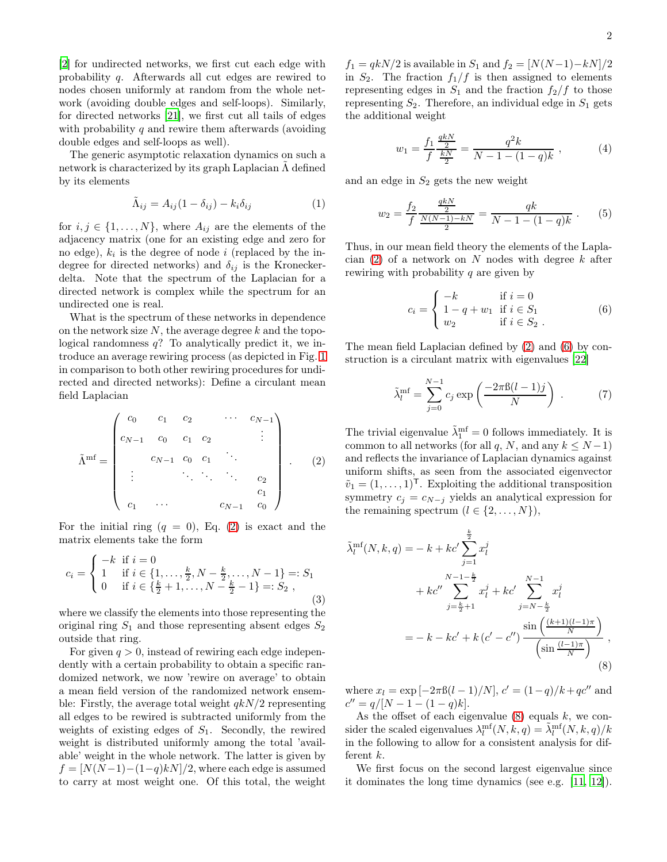[\[2\]](#page-4-1) for undirected networks, we first cut each edge with probability q. Afterwards all cut edges are rewired to nodes chosen uniformly at random from the whole network (avoiding double edges and self-loops). Similarly, for directed networks [\[21\]](#page-4-17), we first cut all tails of edges with probability q and rewire them afterwards (avoiding double edges and self-loops as well).

The generic asymptotic relaxation dynamics on such a network is characterized by its graph Laplacian  $\tilde{\Lambda}$  defined by its elements

$$
\tilde{\Lambda}_{ij} = A_{ij}(1 - \delta_{ij}) - k_i \delta_{ij}
$$
\n(1)

for  $i, j \in \{1, ..., N\}$ , where  $A_{ij}$  are the elements of the adjacency matrix (one for an existing edge and zero for no edge),  $k_i$  is the degree of node i (replaced by the indegree for directed networks) and  $\delta_{ij}$  is the Kroneckerdelta. Note that the spectrum of the Laplacian for a directed network is complex while the spectrum for an undirected one is real.

What is the spectrum of these networks in dependence on the network size  $N$ , the average degree  $k$  and the topological randomness  $q$ ? To analytically predict it, we introduce an average rewiring process (as depicted in Fig. [1](#page-0-0) in comparison to both other rewiring procedures for undirected and directed networks): Define a circulant mean field Laplacian

<span id="page-1-0"></span>
$$
\tilde{\Lambda}^{\text{mf}} = \begin{pmatrix} c_0 & c_1 & c_2 & \cdots & c_{N-1} \\ c_{N-1} & c_0 & c_1 & c_2 & \vdots \\ & c_{N-1} & c_0 & c_1 & \ddots & \vdots \\ \vdots & & \ddots & \ddots & c_2 & c_1 \\ c_1 & \cdots & & & c_{N-1} & c_0 \end{pmatrix} .
$$
 (2)

For the initial ring  $(q = 0)$ , Eq. [\(2\)](#page-1-0) is exact and the matrix elements take the form

$$
c_i = \begin{cases} -k & \text{if } i = 0\\ 1 & \text{if } i \in \{1, \dots, \frac{k}{2}, N - \frac{k}{2}, \dots, N - 1\} =: S_1\\ 0 & \text{if } i \in \{\frac{k}{2} + 1, \dots, N - \frac{k}{2} - 1\} =: S_2 \end{cases}
$$
(3)

where we classify the elements into those representing the original ring  $S_1$  and those representing absent edges  $S_2$ outside that ring.

For given  $q > 0$ , instead of rewiring each edge independently with a certain probability to obtain a specific randomized network, we now 'rewire on average' to obtain a mean field version of the randomized network ensemble: Firstly, the average total weight  $qkN/2$  representing all edges to be rewired is subtracted uniformly from the weights of existing edges of  $S_1$ . Secondly, the rewired weight is distributed uniformly among the total 'available' weight in the whole network. The latter is given by  $f = [N(N-1)-(1-q)kN]/2$ , where each edge is assumed to carry at most weight one. Of this total, the weight

 $f_1 = qkN/2$  is available in  $S_1$  and  $f_2 = [N(N-1)-kN]/2$ in  $S_2$ . The fraction  $f_1/f$  is then assigned to elements representing edges in  $S_1$  and the fraction  $f_2/f$  to those representing  $S_2$ . Therefore, an individual edge in  $S_1$  gets the additional weight

$$
w_1 = \frac{f_1}{f} \frac{\frac{qkN}{2}}{\frac{kN}{2}} = \frac{q^2k}{N - 1 - (1 - q)k} , \qquad (4)
$$

and an edge in  $S_2$  gets the new weight

$$
w_2 = \frac{f_2}{f} \frac{\frac{qkN}{2}}{\frac{N(N-1)-kN}{2}} = \frac{qk}{N-1 - (1-q)k} . \tag{5}
$$

Thus, in our mean field theory the elements of the Laplacian  $(2)$  of a network on N nodes with degree k after rewiring with probability q are given by

<span id="page-1-1"></span>
$$
c_{i} = \begin{cases} -k & \text{if } i = 0\\ 1 - q + w_{1} & \text{if } i \in S_{1} \\ w_{2} & \text{if } i \in S_{2} \end{cases}
$$
 (6)

The mean field Laplacian defined by [\(2\)](#page-1-0) and [\(6\)](#page-1-1) by construction is a circulant matrix with eigenvalues [\[22](#page-4-18)]

$$
\tilde{\lambda}_l^{\text{mf}} = \sum_{j=0}^{N-1} c_j \exp\left(\frac{-2\pi\beta(l-1)j}{N}\right) . \tag{7}
$$

The trivial eigenvalue  $\tilde{\lambda}_1^{\text{mf}}=0$  follows immediately. It is common to all networks (for all q, N, and any  $k \leq N-1$ ) and reflects the invariance of Laplacian dynamics against uniform shifts, as seen from the associated eigenvector  $\tilde{v}_1 = (1, \ldots, 1)^{\mathsf{T}}$ . Exploiting the additional transposition symmetry  $c_j = c_{N-j}$  yields an analytical expression for the remaining spectrum  $(l \in \{2, ..., N\}),$ 

$$
\tilde{\lambda}_l^{\text{mf}}(N, k, q) = -k + kc' \sum_{j=1}^{\frac{k}{2}} x_l^j
$$
  
+  $kc'' \sum_{j=\frac{k}{2}+1}^{N-1-\frac{k}{2}} x_l^j + kc' \sum_{j=N-\frac{k}{2}}^{N-1} x_l^j$   
=  $-k - kc' + k(c' - c'') \frac{\sin\left(\frac{(k+1)(l-1)\pi}{N}\right)}{\left(\sin\frac{(l-1)\pi}{N}\right)},$  (8)

<span id="page-1-2"></span>where  $x_l = \exp[-2\pi \frac{\beta(l-1)}{N}], c' = (1-q)/k + qc''$  and  $c'' = q/[N-1-(1-q)k].$ 

As the offset of each eigenvalue  $(8)$  equals k, we consider the scaled eigenvalues  $\lambda_l^{\text{mf}}(N,k,q) = \tilde{\lambda}_l^{\text{mf}}(N,k,q)/k$ in the following to allow for a consistent analysis for different k.

We first focus on the second largest eigenvalue since it dominates the long time dynamics (see e.g. [\[11](#page-4-10), [12\]](#page-4-11)).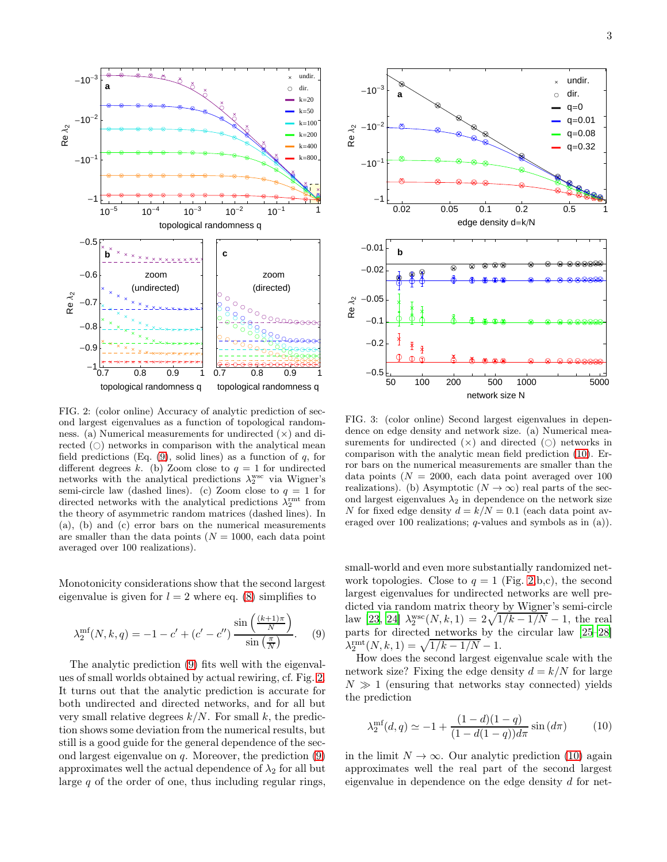

<span id="page-2-1"></span>FIG. 2: (color online) Accuracy of analytic prediction of second largest eigenvalues as a function of topological randomness. (a) Numerical measurements for undirected  $(\times)$  and directed  $( \bigcirc )$  networks in comparison with the analytical mean field predictions (Eq.  $(9)$ , solid lines) as a function of q, for different degrees k. (b) Zoom close to  $q = 1$  for undirected networks with the analytical predictions  $\lambda_2^{\text{wsc}}$  via Wigner's semi-circle law (dashed lines). (c) Zoom close to  $q = 1$  for directed networks with the analytical predictions  $\lambda_2^{\text{rmt}}$  from the theory of asymmetric random matrices (dashed lines). In (a), (b) and (c) error bars on the numerical measurements are smaller than the data points  $(N = 1000, \text{ each data point})$ averaged over 100 realizations).

Monotonicity considerations show that the second largest eigenvalue is given for  $l = 2$  where eq. [\(8\)](#page-1-2) simplifies to

<span id="page-2-0"></span>
$$
\lambda_2^{\text{mf}}(N,k,q) = -1 - c' + (c' - c'') \frac{\sin\left(\frac{(k+1)\pi}{N}\right)}{\sin\left(\frac{\pi}{N}\right)}.
$$
 (9)

The analytic prediction [\(9\)](#page-2-0) fits well with the eigenvalues of small worlds obtained by actual rewiring, cf. Fig. [2.](#page-2-1) It turns out that the analytic prediction is accurate for both undirected and directed networks, and for all but very small relative degrees  $k/N$ . For small k, the prediction shows some deviation from the numerical results, but still is a good guide for the general dependence of the second largest eigenvalue on  $q$ . Moreover, the prediction  $(9)$ approximates well the actual dependence of  $\lambda_2$  for all but large  $q$  of the order of one, thus including regular rings,



<span id="page-2-3"></span>FIG. 3: (color online) Second largest eigenvalues in dependence on edge density and network size. (a) Numerical measurements for undirected  $(x)$  and directed  $(0)$  networks in comparison with the analytic mean field prediction [\(10\)](#page-2-2). Error bars on the numerical measurements are smaller than the data points ( $N = 2000$ , each data point averaged over 100 realizations). (b) Asymptotic  $(N \to \infty)$  real parts of the second largest eigenvalues  $\lambda_2$  in dependence on the network size N for fixed edge density  $d = k/N = 0.1$  (each data point averaged over 100 realizations; q-values and symbols as in (a)).

small-world and even more substantially randomized network topologies. Close to  $q = 1$  (Fig. [2,](#page-2-1)b,c), the second largest eigenvalues for undirected networks are well predicted via random matrix theory by Wigner's semi-circle law [\[23,](#page-4-19) [24](#page-4-20)]  $\lambda_2^{\text{wsc}}(N, k, 1) = 2\sqrt{1/k - 1/N} - 1$ , the real parts for directed networks by the circular law [\[25](#page-4-21)[–28\]](#page-4-22)  $\lambda_2^{\text{rmt}}(N, k, 1) = \sqrt{1/k - 1/N} - 1.$ 

How does the second largest eigenvalue scale with the network size? Fixing the edge density  $d = k/N$  for large  $N \gg 1$  (ensuring that networks stay connected) yields the prediction

<span id="page-2-2"></span>
$$
\lambda_2^{\text{mf}}(d,q) \simeq -1 + \frac{(1-d)(1-q)}{(1-d(1-q))d\pi} \sin\left(d\pi\right) \tag{10}
$$

in the limit  $N \to \infty$ . Our analytic prediction [\(10\)](#page-2-2) again approximates well the real part of the second largest eigenvalue in dependence on the edge density d for net-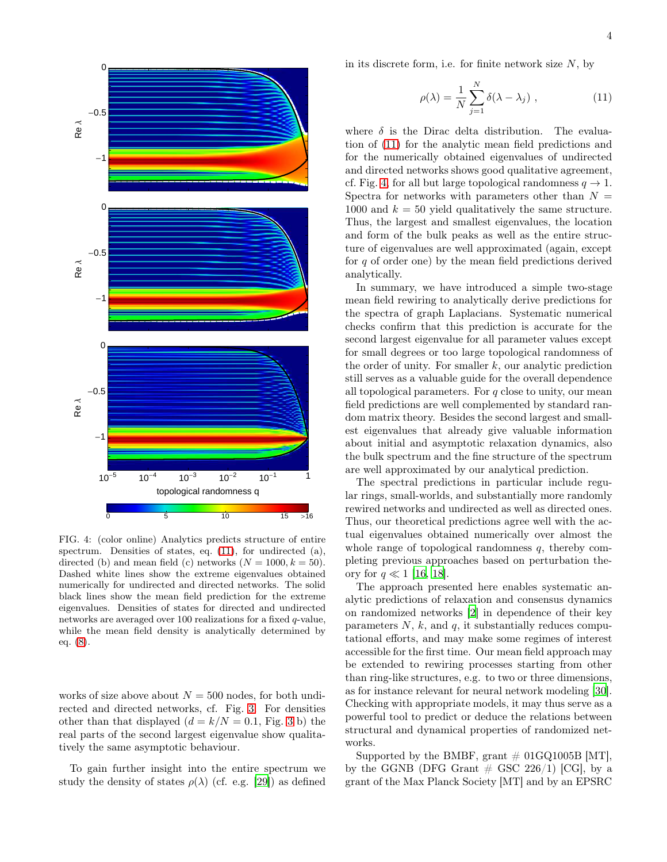

<span id="page-3-1"></span>FIG. 4: (color online) Analytics predicts structure of entire spectrum. Densities of states, eq.  $(11)$ , for undirected  $(a)$ , directed (b) and mean field (c) networks  $(N = 1000, k = 50)$ . Dashed white lines show the extreme eigenvalues obtained numerically for undirected and directed networks. The solid black lines show the mean field prediction for the extreme eigenvalues. Densities of states for directed and undirected networks are averaged over 100 realizations for a fixed q-value, while the mean field density is analytically determined by eq. [\(8\)](#page-1-2).

works of size above about  $N = 500$  nodes, for both undirected and directed networks, cf. Fig. [3.](#page-2-3) For densities other than that displayed  $(d = k/N = 0.1,$  Fig. [3](#page-2-3) b) the real parts of the second largest eigenvalue show qualitatively the same asymptotic behaviour.

To gain further insight into the entire spectrum we study the density of states  $\rho(\lambda)$  (cf. e.g. [\[29\]](#page-4-23)) as defined in its discrete form, i.e. for finite network size  $N$ , by

<span id="page-3-0"></span>
$$
\rho(\lambda) = \frac{1}{N} \sum_{j=1}^{N} \delta(\lambda - \lambda_j) , \qquad (11)
$$

where  $\delta$  is the Dirac delta distribution. The evaluation of [\(11\)](#page-3-0) for the analytic mean field predictions and for the numerically obtained eigenvalues of undirected and directed networks shows good qualitative agreement, cf. Fig. [4,](#page-3-1) for all but large topological randomness  $q \to 1$ . Spectra for networks with parameters other than  $N =$ 1000 and  $k = 50$  yield qualitatively the same structure. Thus, the largest and smallest eigenvalues, the location and form of the bulk peaks as well as the entire structure of eigenvalues are well approximated (again, except for  $q$  of order one) by the mean field predictions derived analytically.

In summary, we have introduced a simple two-stage mean field rewiring to analytically derive predictions for the spectra of graph Laplacians. Systematic numerical checks confirm that this prediction is accurate for the second largest eigenvalue for all parameter values except for small degrees or too large topological randomness of the order of unity. For smaller  $k$ , our analytic prediction still serves as a valuable guide for the overall dependence all topological parameters. For  $q$  close to unity, our mean field predictions are well complemented by standard random matrix theory. Besides the second largest and smallest eigenvalues that already give valuable information about initial and asymptotic relaxation dynamics, also the bulk spectrum and the fine structure of the spectrum are well approximated by our analytical prediction.

The spectral predictions in particular include regular rings, small-worlds, and substantially more randomly rewired networks and undirected as well as directed ones. Thus, our theoretical predictions agree well with the actual eigenvalues obtained numerically over almost the whole range of topological randomness  $q$ , thereby completing previous approaches based on perturbation theory for  $q \ll 1$  [\[16](#page-4-15), [18](#page-4-24)].

The approach presented here enables systematic analytic predictions of relaxation and consensus dynamics on randomized networks [\[2\]](#page-4-1) in dependence of their key parameters  $N$ ,  $k$ , and  $q$ , it substantially reduces computational efforts, and may make some regimes of interest accessible for the first time. Our mean field approach may be extended to rewiring processes starting from other than ring-like structures, e.g. to two or three dimensions, as for instance relevant for neural network modeling [\[30\]](#page-4-25). Checking with appropriate models, it may thus serve as a powerful tool to predict or deduce the relations between structural and dynamical properties of randomized networks.

Supported by the BMBF, grant  $\#$  01GQ1005B [MT], by the GGNB (DFG Grant  $\#$  GSC 226/1) [CG], by a grant of the Max Planck Society [MT] and by an EPSRC